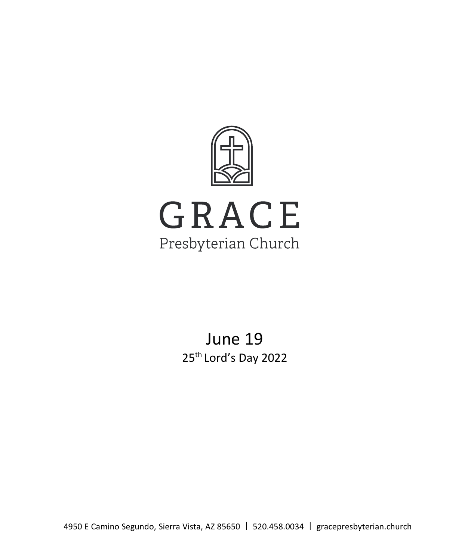

June 19 25<sup>th</sup> Lord's Day 2022

4950 E Camino Segundo, Sierra Vista, AZ 85650 | 520.458.0034 | gracepresbyterian.church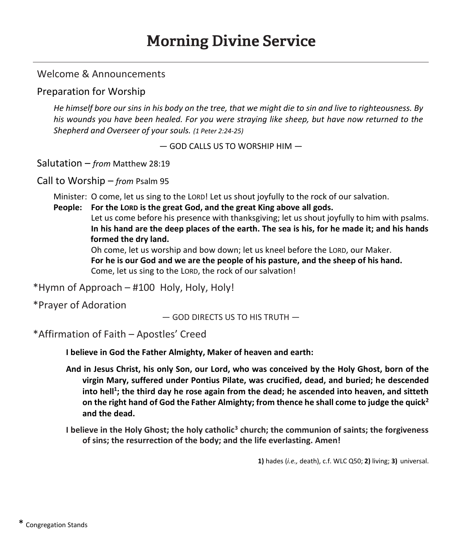## Welcome & Announcements

#### Preparation for Worship

*He himself bore our sins in his body on the tree, that we might die to sin and live to righteousness. By his wounds you have been healed. For you were straying like sheep, but have now returned to the Shepherd and Overseer of your souls. (1 Peter 2:24-25)*

 $-$  GOD CALLS US TO WORSHIP HIM  $-$ 

Salutation – *from* Matthew 28:19

Call to Worship – *from* Psalm 95

Minister: O come, let us sing to the LORD! Let us shout joyfully to the rock of our salvation.

**People: For the LORD is the great God, and the great King above all gods.**

Let us come before his presence with thanksgiving; let us shout joyfully to him with psalms. **In his hand are the deep places of the earth. The sea is his, for he made it; and his hands formed the dry land.**

Oh come, let us worship and bow down; let us kneel before the LORD, our Maker. **For he is our God and we are the people of his pasture, and the sheep of his hand.** Come, let us sing to the LORD, the rock of our salvation!

 $*$ Hymn of Approach – #100 Holy, Holy, Holy!

\*Prayer of Adoration

 $-$  GOD DIRECTS US TO HIS TRUTH  $-$ 

\*Affirmation of Faith ʹ Apostles͛ Creed

**I believe in God the Father Almighty, Maker of heaven and earth:**

**And in Jesus Christ, his only Son, our Lord, who was conceived by the Holy Ghost, born of the virgin Mary, suffered under Pontius Pilate, was crucified, dead, and buried; he descended**  into hell<sup>1</sup>; the third day he rose again from the dead; he ascended into heaven, and sitteth **on the right hand of God the Father Almighty; from thence he shall come to judge the quick2 and the dead.**

**I believe in the Holy Ghost; the holy catholic3 church; the communion of saints; the forgiveness of sins; the resurrection of the body; and the life everlasting. Amen!**

**1)** hades (*i.e.,* death), c.f. WLC Q50; **2)** living; **3)** universal.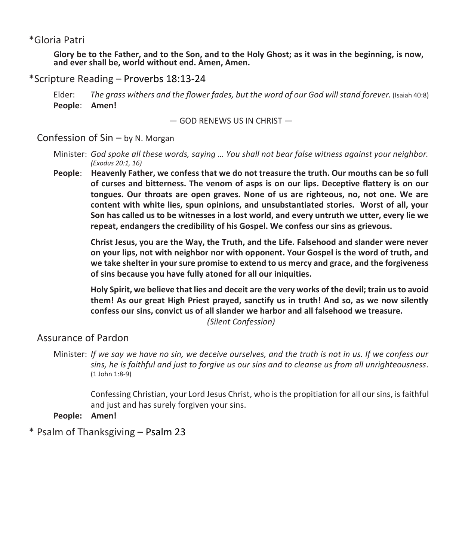#### \*Gloria Patri

Glory be to the Father, and to the Son, and to the Holy Ghost; as it was in the beginning, is now, **and ever shall be, world without end. Amen, Amen.**

#### \*Scripture Reading ʹ Proverbs 18:13-24

Elder: *The grass withers and the flower fades, but the word of our God willstand forever.* (Isaiah 40:8) **People**: **Amen!**

 $-$  GOD RENEWS US IN CHRIST  $-$ 

#### Confession of  $Sin - by N$ . Morgan

- Minister: God spoke all these words, saying ... You shall not bear false witness against your neighbor. *(Exodus 20:1, 16)*
- **People**: **Heavenly Father, we confess that we do not treasure the truth. Our mouths can be so full of curses and bitterness. The venom of asps is on our lips. Deceptive flattery is on our tongues. Our throats are open graves. None of us are righteous, no, not one. We are content with white lies, spun opinions, and unsubstantiated stories. Worst of all, your Son has called us to be witnesses in a lost world, and every untruth we utter, every lie we repeat, endangers the credibility of his Gospel. We confess our sins as grievous.**

**Christ Jesus, you are the Way, the Truth, and the Life. Falsehood and slander were never on your lips, not with neighbor nor with opponent. Your Gospel is the word of truth, and we take shelter in your sure promise to extend to us mercy and grace, and the forgiveness of sins because you have fully atoned for all our iniquities.**

**Holy Spirit, we believe that lies and deceit are the very works of the devil; train us to avoid them! As our great High Priest prayed, sanctify us in truth! And so, as we now silently confess our sins, convict us of all slander we harbor and all falsehood we treasure.** 

*(Silent Confession)*

## Assurance of Pardon

Confessing Christian, your Lord Jesus Christ, who is the propitiation for all our sins, is faithful and just and has surely forgiven your sins.

**People: Amen!**

\* Psalm of Thanksgiving ʹ Psalm 23

Minister: *If we say we have no sin, we deceive ourselves, and the truth is not in us. If we confess our sins, he is faithful and just to forgive us our sins and to cleanse us from all unrighteousness.* (1 John 1:8-9)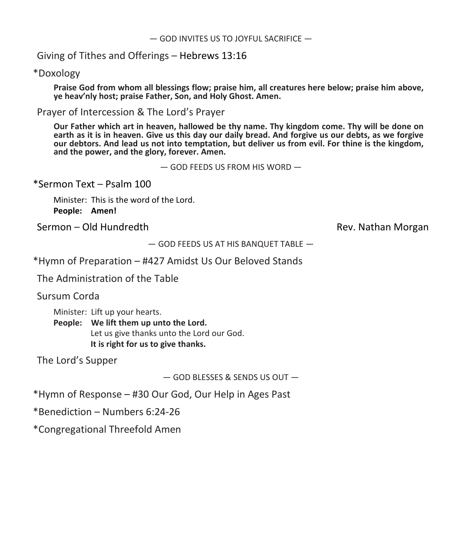Giving of Tithes and Offerings  $-$  Hebrews 13:16

\*Doxology

**Praise God from whom all blessings flow; praise him, all creatures here below; praise him above, ye ŚĞĂǀ͛ŶůLJ host; praise Father, Son, and Holy Ghost. Amen.**

Prayer of Intercession & The Lord's Prayer

**Our Father which art in heaven, hallowed be thy name. Thy kingdom come. Thy will be done on** earth as it is in heaven. Give us this day our daily bread. And forgive us our debts, as we forgive **our debtors. And lead us not into temptation, but deliver us from evil. For thine is the kingdom, and the power, and the glory, forever. Amen.**

 $-$  GOD FEEDS US FROM HIS WORD  $-$ 

 $*$ Sermon Text – Psalm 100

Minister: This is the word of the Lord. **People: Amen!**

Sermon – Old Hundredth **Rev. Nathan Morgan** 

 $-$  GOD FEEDS US AT HIS BANQUET TABLE  $-$ 

\*Hymn of Preparation ʹ #427 Amidst Us Our Beloved Stands

The Administration of the Table

Sursum Corda

Minister: Lift up your hearts.

**People: We lift them up unto the Lord.** Let us give thanks unto the Lord our God. **It is right for us to give thanks.**

The Lord's Supper

 $-$  GOD BLESSES & SENDS US OUT  $-$ 

\*Hymn of Response - #30 Our God, Our Help in Ages Past

 $*$ Benediction – Numbers 6:24-26

\*Congregational Threefold Amen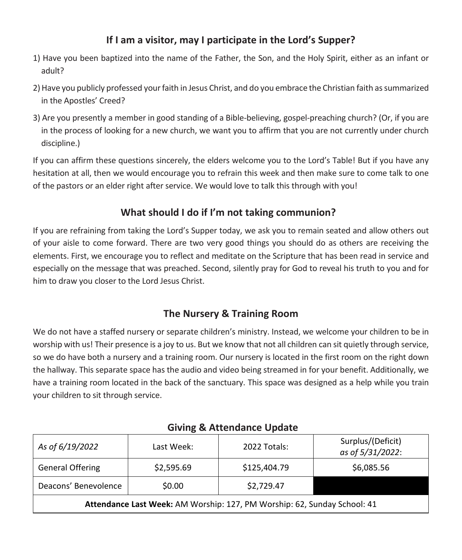# **If** I am a visitor, may I participate in the Lord's Supper?

- 1) Have you been baptized into the name of the Father, the Son, and the Holy Spirit, either as an infant or adult?
- 2) Have you publicly professed your faith in Jesus Christ, and do you embrace the Christian faith as summarized in the Apostles' Creed?
- 3) Are you presently a member in good standing of a Bible-believing, gospel-preaching church? (Or, if you are in the process of looking for a new church, we want you to affirm that you are not currently under church discipline.)

If you can affirm these questions sincerely, the elders welcome you to the Lord's Table! But if you have any hesitation at all, then we would encourage you to refrain this week and then make sure to come talk to one of the pastors or an elder right after service. We would love to talk this through with you!

# **What should I do if /͛ŵ not taking communion?**

If you are refraining from taking the Lord's Supper today, we ask you to remain seated and allow others out of your aisle to come forward. There are two very good things you should do as others are receiving the elements. First, we encourage you to reflect and meditate on the Scripture that has been read in service and especially on the message that was preached. Second, silently pray for God to reveal his truth to you and for him to draw you closer to the Lord Jesus Christ.

# **The Nursery & Training Room**

We do not have a staffed nursery or separate children's ministry. Instead, we welcome your children to be in worship with us! Their presence is a joy to us. But we know that not all children can sit quietly through service, so we do have both a nursery and a training room. Our nursery is located in the first room on the right down the hallway. This separate space has the audio and video being streamed in for your benefit. Additionally, we have a training room located in the back of the sanctuary. This space was designed as a help while you train your children to sit through service.

| As of 6/19/2022                                                          | Last Week: | 2022 Totals: | Surplus/(Deficit)<br>as of 5/31/2022: |
|--------------------------------------------------------------------------|------------|--------------|---------------------------------------|
| <b>General Offering</b>                                                  | \$2,595.69 | \$125,404.79 | \$6,085.56                            |
| Deacons' Benevolence                                                     | \$0.00     | \$2,729.47   |                                       |
| Attendance Last Week: AM Worship: 127, PM Worship: 62, Sunday School: 41 |            |              |                                       |

# **Giving & Attendance Update**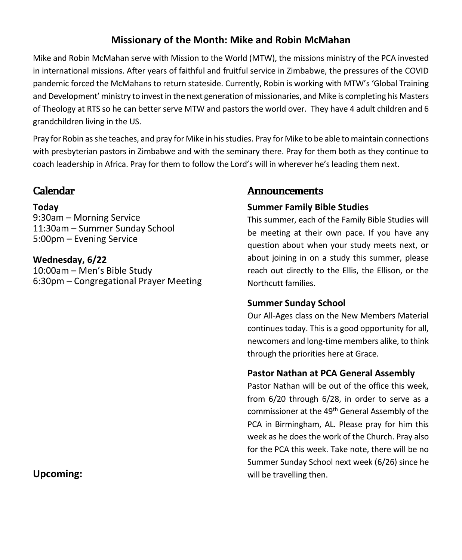# **Missionary of the Month: Mike and Robin McMahan**

Mike and Robin McMahan serve with Mission to the World (MTW), the missions ministry of the PCA invested in international missions. After years of faithful and fruitful service in Zimbabwe, the pressures of the COVID pandemic forced the McMahans to return stateside. Currently, Robin is working with MTW's 'Global Training and Development' ministry to invest in the next generation of missionaries, and Mike is completing his Masters of Theology at RTS so he can better serve MTW and pastors the world over. They have 4 adult children and 6 grandchildren living in the US.

Pray for Robin as she teaches, and pray for Mike in his studies. Pray for Mike to be able to maintain connections with presbyterian pastors in Zimbabwe and with the seminary there. Pray for them both as they continue to coach leadership in Africa. Pray for them to follow the Lord's will in wherever he's leading them next.

# **Calendar**

## **Today**

9:30am - Morning Service 11:30am – Summer Sunday School 5:00pm – Evening Service

**Wednesday, 6/22** 10:00am - Men's Bible Study 6:30pm – Congregational Prayer Meeting

## **Announcements**

## **Summer Family Bible Studies**

This summer, each of the Family Bible Studies will be meeting at their own pace. If you have any question about when your study meets next, or about joining in on a study this summer, please reach out directly to the Ellis, the Ellison, or the Northcutt families.

## **Summer Sunday School**

Our All-Ages class on the New Members Material continues today. This is a good opportunity for all, newcomers and long-time members alike, to think through the priorities here at Grace.

## **Pastor Nathan at PCA General Assembly**

Pastor Nathan will be out of the office this week, from 6/20 through 6/28, in order to serve as a commissioner at the 49<sup>th</sup> General Assembly of the PCA in Birmingham, AL. Please pray for him this week as he does the work of the Church. Pray also for the PCA this week. Take note, there will be no Summer Sunday School next week (6/26) since he will be travelling then.

## **Upcoming:**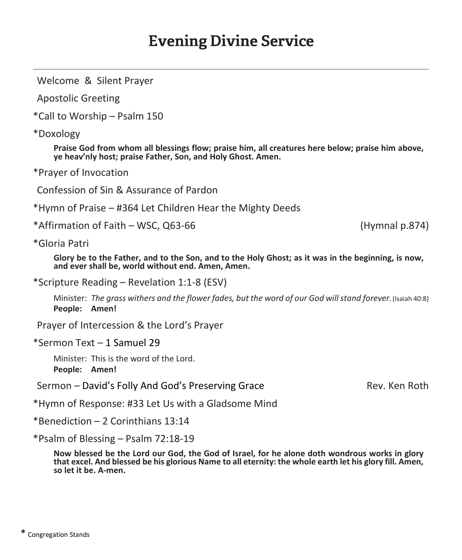# **Evening Divine Service**

Welcome & Silent Prayer

Apostolic Greeting

\*Call to Worship - Psalm 150

\*Doxology

**Praise God from whom all blessings flow; praise him, all creatures here below; praise him above, ye ŚĞĂǀ͛ŶůLJ host; praise Father, Son, and Holy Ghost. Amen.**

\*Prayer of Invocation

Confession of Sin & Assurance of Pardon

\*Hymn of Praise - #364 Let Children Hear the Mighty Deeds

\*Affirmation of Faith ʹ WSC, Q63-66 (Hymnal p.874)

\*Gloria Patri

Glory be to the Father, and to the Son, and to the Holy Ghost; as it was in the beginning, is now, **and ever shall be, world without end. Amen, Amen.**

\*Scripture Reading ʹ Revelation 1:1-8 (ESV)

Minister: *The grass withers and the flower fades, but the word of our God willstand forever.*(Isaiah 40:8) **People: Amen!**

Prayer of Intercession & the Lord's Prayer

\*Sermon Text – 1 Samuel 29

Minister: This is the word of the Lord. **People: Amen!**

Sermon – David's Folly And God's Preserving Grace The Rev. Ken Roth

\*Hymn of Response: #33 Let Us with a Gladsome Mind

 $*$ Benediction  $-2$  Corinthians 13:14

\*Psalm of Blessing ʹ Psalm 72:18-19

Now blessed be the Lord our God, the God of Israel, for he alone doth wondrous works in glory that excel. And blessed be his glorious Name to all eternity: the whole earth let his glory fill. Amen, **so let it be. A-men.**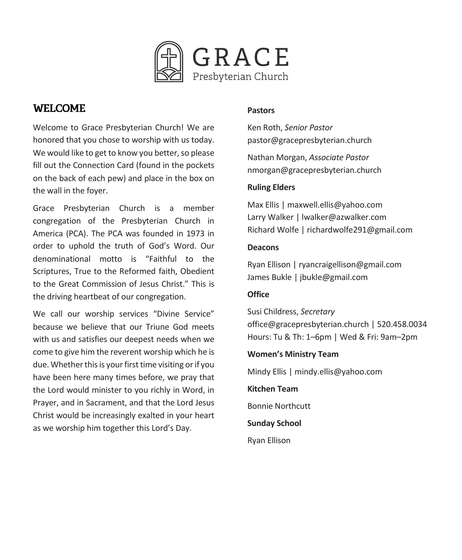

# **WELCOME**

Welcome to Grace Presbyterian Church! We are honored that you chose to worship with us today. We would like to get to know you better, so please fill out the Connection Card (found in the pockets on the back of each pew) and place in the box on the wall in the foyer.

Grace Presbyterian Church is a member congregation of the Presbyterian Church in America (PCA). The PCA was founded in 1973 in order to uphold the truth of God's Word. Our denominational motto is "Faithful to the Scriptures, True to the Reformed faith, Obedient to the Great Commission of Jesus Christ " This is the driving heartbeat of our congregation.

We call our worship services "Divine Service" because we believe that our Triune God meets with us and satisfies our deepest needs when we come to give him the reverent worship which he is due. Whether this is your first time visiting or if you have been here many times before, we pray that the Lord would minister to you richly in Word, in Prayer, and in Sacrament, and that the Lord Jesus Christ would be increasingly exalted in your heart as we worship him together this Lord's Day.

#### **Pastors**

Ken Roth, *Senior Pastor* pastor@gracepresbyterian.church

Nathan Morgan, *Associate Pastor* nmorgan@gracepresbyterian.church

#### **Ruling Elders**

Max Ellis | maxwell.ellis@yahoo.com Larry Walker | lwalker@azwalker.com Richard Wolfe | [richardwolfe291@gmail.com](mailto:richardwolfe291@gmail.com)

#### **Deacons**

Ryan Ellison | [ryancraigellison@gmail.com](mailto:ryancraigellison@gmail.com) James Bukle | jbukle@gmail.com

#### **Office**

Susi Childress, *Secretary* office@gracepresbyterian.church | 520.458.0034 Hours: Tu & Th: 1-6pm | Wed & Fri: 9am-2pm

#### **Women's Ministry Team**

Mindy Ellis | mindy.ellis@yahoo.com

**Kitchen Team** Bonnie Northcutt

**Sunday School**

Ryan Ellison